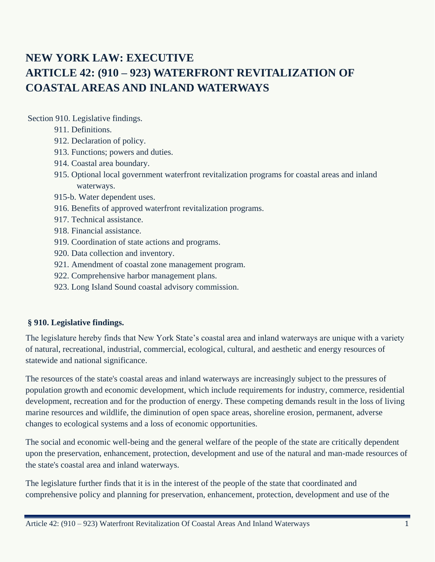# **NEW YORK LAW: EXECUTIVE ARTICLE 42: (910 – 923) WATERFRONT REVITALIZATION OF COASTAL AREAS AND INLAND WATERWAYS**

Section 910. Legislative findings.

- 911. Definitions.
- 912. Declaration of policy.
- 913. Functions; powers and duties.
- 914. Coastal area boundary.
- 915. Optional local government waterfront revitalization programs for coastal areas and inland waterways.
- 915-b. Water dependent uses.
- 916. Benefits of approved waterfront revitalization programs.
- 917. Technical assistance.
- 918. Financial assistance.
- 919. Coordination of state actions and programs.
- 920. Data collection and inventory.
- 921. Amendment of coastal zone management program.
- 922. Comprehensive harbor management plans.
- 923. Long Island Sound coastal advisory commission.

#### **§ 910. Legislative findings.**

The legislature hereby finds that New York State's coastal area and inland waterways are unique with a variety of natural, recreational, industrial, commercial, ecological, cultural, and aesthetic and energy resources of statewide and national significance.

The resources of the state's coastal areas and inland waterways are increasingly subject to the pressures of population growth and economic development, which include requirements for industry, commerce, residential development, recreation and for the production of energy. These competing demands result in the loss of living marine resources and wildlife, the diminution of open space areas, shoreline erosion, permanent, adverse changes to ecological systems and a loss of economic opportunities.

The social and economic well-being and the general welfare of the people of the state are critically dependent upon the preservation, enhancement, protection, development and use of the natural and man-made resources of the state's coastal area and inland waterways.

The legislature further finds that it is in the interest of the people of the state that coordinated and comprehensive policy and planning for preservation, enhancement, protection, development and use of the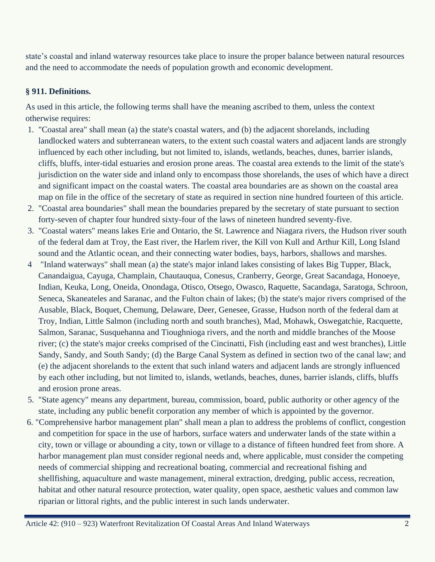state's coastal and inland waterway resources take place to insure the proper balance between natural resources and the need to accommodate the needs of population growth and economic development.

# **§ 911. Definitions.**

As used in this article, the following terms shall have the meaning ascribed to them, unless the context otherwise requires:

- 1. "Coastal area" shall mean (a) the state's coastal waters, and (b) the adjacent shorelands, including landlocked waters and subterranean waters, to the extent such coastal waters and adjacent lands are strongly influenced by each other including, but not limited to, islands, wetlands, beaches, dunes, barrier islands, cliffs, bluffs, inter-tidal estuaries and erosion prone areas. The coastal area extends to the limit of the state's jurisdiction on the water side and inland only to encompass those shorelands, the uses of which have a direct and significant impact on the coastal waters. The coastal area boundaries are as shown on the coastal area map on file in the office of the secretary of state as required in section nine hundred fourteen of this article.
- 2. "Coastal area boundaries" shall mean the boundaries prepared by the secretary of state pursuant to section forty-seven of chapter four hundred sixty-four of the laws of nineteen hundred seventy-five.
- 3. "Coastal waters" means lakes Erie and Ontario, the St. Lawrence and Niagara rivers, the Hudson river south of the federal dam at Troy, the East river, the Harlem river, the Kill von Kull and Arthur Kill, Long Island sound and the Atlantic ocean, and their connecting water bodies, bays, harbors, shallows and marshes.
- 4 "Inland waterways" shall mean (a) the state's major inland lakes consisting of lakes Big Tupper, Black, Canandaigua, Cayuga, Champlain, Chautauqua, Conesus, Cranberry, George, Great Sacandaga, Honoeye, Indian, Keuka, Long, Oneida, Onondaga, Otisco, Otsego, Owasco, Raquette, Sacandaga, Saratoga, Schroon, Seneca, Skaneateles and Saranac, and the Fulton chain of lakes; (b) the state's major rivers comprised of the Ausable, Black, Boquet, Chemung, Delaware, Deer, Genesee, Grasse, Hudson north of the federal dam at Troy, Indian, Little Salmon (including north and south branches), Mad, Mohawk, Oswegatchie, Racquette, Salmon, Saranac, Susquehanna and Tioughnioga rivers, and the north and middle branches of the Moose river; (c) the state's major creeks comprised of the Cincinatti, Fish (including east and west branches), Little Sandy, Sandy, and South Sandy; (d) the Barge Canal System as defined in section two of the canal law; and (e) the adjacent shorelands to the extent that such inland waters and adjacent lands are strongly influenced by each other including, but not limited to, islands, wetlands, beaches, dunes, barrier islands, cliffs, bluffs and erosion prone areas.
- 5. "State agency" means any department, bureau, commission, board, public authority or other agency of the state, including any public benefit corporation any member of which is appointed by the governor.
- 6. "Comprehensive harbor management plan" shall mean a plan to address the problems of conflict, congestion and competition for space in the use of harbors, surface waters and underwater lands of the state within a city, town or village or abounding a city, town or village to a distance of fifteen hundred feet from shore. A harbor management plan must consider regional needs and, where applicable, must consider the competing needs of commercial shipping and recreational boating, commercial and recreational fishing and shellfishing, aquaculture and waste management, mineral extraction, dredging, public access, recreation, habitat and other natural resource protection, water quality, open space, aesthetic values and common law riparian or littoral rights, and the public interest in such lands underwater.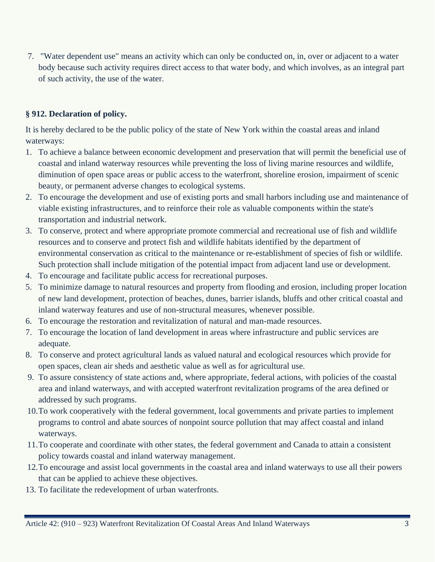7. "Water dependent use" means an activity which can only be conducted on, in, over or adjacent to a water body because such activity requires direct access to that water body, and which involves, as an integral part of such activity, the use of the water.

### **§ 912. Declaration of policy.**

It is hereby declared to be the public policy of the state of New York within the coastal areas and inland waterways:

- 1. To achieve a balance between economic development and preservation that will permit the beneficial use of coastal and inland waterway resources while preventing the loss of living marine resources and wildlife, diminution of open space areas or public access to the waterfront, shoreline erosion, impairment of scenic beauty, or permanent adverse changes to ecological systems.
- 2. To encourage the development and use of existing ports and small harbors including use and maintenance of viable existing infrastructures, and to reinforce their role as valuable components within the state's transportation and industrial network.
- 3. To conserve, protect and where appropriate promote commercial and recreational use of fish and wildlife resources and to conserve and protect fish and wildlife habitats identified by the department of environmental conservation as critical to the maintenance or re-establishment of species of fish or wildlife. Such protection shall include mitigation of the potential impact from adjacent land use or development.
- 4. To encourage and facilitate public access for recreational purposes.
- 5. To minimize damage to natural resources and property from flooding and erosion, including proper location of new land development, protection of beaches, dunes, barrier islands, bluffs and other critical coastal and inland waterway features and use of non-structural measures, whenever possible.
- 6. To encourage the restoration and revitalization of natural and man-made resources.
- 7. To encourage the location of land development in areas where infrastructure and public services are adequate.
- 8. To conserve and protect agricultural lands as valued natural and ecological resources which provide for open spaces, clean air sheds and aesthetic value as well as for agricultural use.
- 9. To assure consistency of state actions and, where appropriate, federal actions, with policies of the coastal area and inland waterways, and with accepted waterfront revitalization programs of the area defined or addressed by such programs.
- 10.To work cooperatively with the federal government, local governments and private parties to implement programs to control and abate sources of nonpoint source pollution that may affect coastal and inland waterways.
- 11.To cooperate and coordinate with other states, the federal government and Canada to attain a consistent policy towards coastal and inland waterway management.
- 12.To encourage and assist local governments in the coastal area and inland waterways to use all their powers that can be applied to achieve these objectives.
- 13. To facilitate the redevelopment of urban waterfronts.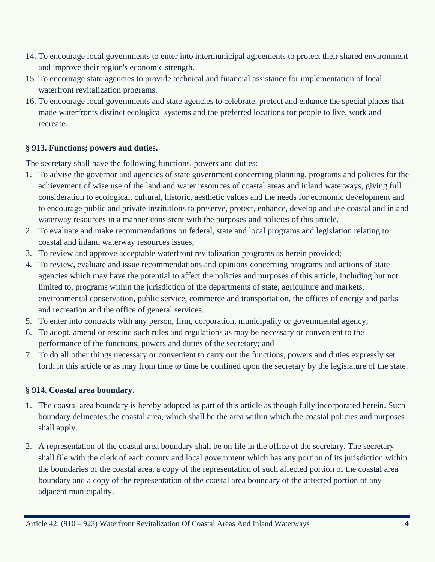- 14. To encourage local governments to enter into intermunicipal agreements to protect their shared environment and improve their region's economic strength.
- 15. To encourage state agencies to provide technical and financial assistance for implementation of local waterfront revitalization programs.
- 16. To encourage local governments and state agencies to celebrate, protect and enhance the special places that made waterfronts distinct ecological systems and the preferred locations for people to live, work and recreate.

#### **§ 913. Functions; powers and duties.**

The secretary shall have the following functions, powers and duties:

- 1. To advise the governor and agencies of state government concerning planning, programs and policies for the achievement of wise use of the land and water resources of coastal areas and inland waterways, giving full consideration to ecological, cultural, historic, aesthetic values and the needs for economic development and to encourage public and private institutions to preserve, protect, enhance, develop and use coastal and inland waterway resources in a manner consistent with the purposes and policies of this article.
- 2. To evaluate and make recommendations on federal, state and local programs and legislation relating to coastal and inland waterway resources issues;
- 3. To review and approve acceptable waterfront revitalization programs as herein provided;
- 4. To review, evaluate and issue recommendations and opinions concerning programs and actions of state agencies which may have the potential to affect the policies and purposes of this article, including but not limited to, programs within the jurisdiction of the departments of state, agriculture and markets, environmental conservation, public service, commerce and transportation, the offices of energy and parks and recreation and the office of general services.
- 5. To enter into contracts with any person, firm, corporation, municipality or governmental agency;
- 6. To adopt, amend or rescind such rules and regulations as may be necessary or convenient to the performance of the functions, powers and duties of the secretary; and
- 7. To do all other things necessary or convenient to carry out the functions, powers and duties expressly set forth in this article or as may from time to time be confined upon the secretary by the legislature of the state.

#### **§ 914. Coastal area boundary.**

- 1. The coastal area boundary is hereby adopted as part of this article as though fully incorporated herein. Such boundary delineates the coastal area, which shall be the area within which the coastal policies and purposes shall apply.
- 2. A representation of the coastal area boundary shall be on file in the office of the secretary. The secretary shall file with the clerk of each county and local government which has any portion of its jurisdiction within the boundaries of the coastal area, a copy of the representation of such affected portion of the coastal area boundary and a copy of the representation of the coastal area boundary of the affected portion of any adjacent municipality.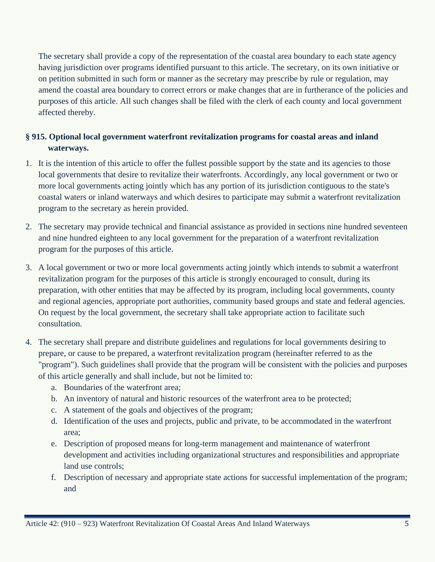The secretary shall provide a copy of the representation of the coastal area boundary to each state agency having jurisdiction over programs identified pursuant to this article. The secretary, on its own initiative or on petition submitted in such form or manner as the secretary may prescribe by rule or regulation, may amend the coastal area boundary to correct errors or make changes that are in furtherance of the policies and purposes of this article. All such changes shall be filed with the clerk of each county and local government affected thereby.

# **§ 915. Optional local government waterfront revitalization programs for coastal areas and inland waterways.**

- 1. It is the intention of this article to offer the fullest possible support by the state and its agencies to those local governments that desire to revitalize their waterfronts. Accordingly, any local government or two or more local governments acting jointly which has any portion of its jurisdiction contiguous to the state's coastal waters or inland waterways and which desires to participate may submit a waterfront revitalization program to the secretary as herein provided.
- 2. The secretary may provide technical and financial assistance as provided in sections nine hundred seventeen and nine hundred eighteen to any local government for the preparation of a waterfront revitalization program for the purposes of this article.
- 3. A local government or two or more local governments acting jointly which intends to submit a waterfront revitalization program for the purposes of this article is strongly encouraged to consult, during its preparation, with other entities that may be affected by its program, including local governments, county and regional agencies, appropriate port authorities, community based groups and state and federal agencies. On request by the local government, the secretary shall take appropriate action to facilitate such consultation.
- 4. The secretary shall prepare and distribute guidelines and regulations for local governments desiring to prepare, or cause to be prepared, a waterfront revitalization program (hereinafter referred to as the "program"). Such guidelines shall provide that the program will be consistent with the policies and purposes of this article generally and shall include, but not be limited to:
	- a. Boundaries of the waterfront area;
	- b. An inventory of natural and historic resources of the waterfront area to be protected;
	- c. A statement of the goals and objectives of the program;
	- d. Identification of the uses and projects, public and private, to be accommodated in the waterfront area;
	- e. Description of proposed means for long-term management and maintenance of waterfront development and activities including organizational structures and responsibilities and appropriate land use controls;
	- f. Description of necessary and appropriate state actions for successful implementation of the program; and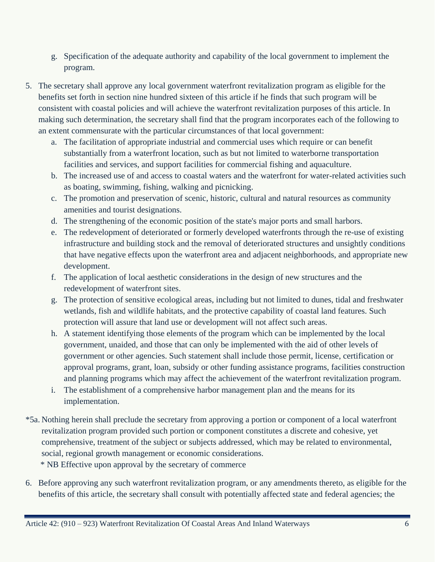- g. Specification of the adequate authority and capability of the local government to implement the program.
- 5. The secretary shall approve any local government waterfront revitalization program as eligible for the benefits set forth in section nine hundred sixteen of this article if he finds that such program will be consistent with coastal policies and will achieve the waterfront revitalization purposes of this article. In making such determination, the secretary shall find that the program incorporates each of the following to an extent commensurate with the particular circumstances of that local government:
	- a. The facilitation of appropriate industrial and commercial uses which require or can benefit substantially from a waterfront location, such as but not limited to waterborne transportation facilities and services, and support facilities for commercial fishing and aquaculture.
	- b. The increased use of and access to coastal waters and the waterfront for water-related activities such as boating, swimming, fishing, walking and picnicking.
	- c. The promotion and preservation of scenic, historic, cultural and natural resources as community amenities and tourist designations.
	- d. The strengthening of the economic position of the state's major ports and small harbors.
	- e. The redevelopment of deteriorated or formerly developed waterfronts through the re-use of existing infrastructure and building stock and the removal of deteriorated structures and unsightly conditions that have negative effects upon the waterfront area and adjacent neighborhoods, and appropriate new development.
	- f. The application of local aesthetic considerations in the design of new structures and the redevelopment of waterfront sites.
	- g. The protection of sensitive ecological areas, including but not limited to dunes, tidal and freshwater wetlands, fish and wildlife habitats, and the protective capability of coastal land features. Such protection will assure that land use or development will not affect such areas.
	- h. A statement identifying those elements of the program which can be implemented by the local government, unaided, and those that can only be implemented with the aid of other levels of government or other agencies. Such statement shall include those permit, license, certification or approval programs, grant, loan, subsidy or other funding assistance programs, facilities construction and planning programs which may affect the achievement of the waterfront revitalization program.
	- i. The establishment of a comprehensive harbor management plan and the means for its implementation.
- \*5a. Nothing herein shall preclude the secretary from approving a portion or component of a local waterfront revitalization program provided such portion or component constitutes a discrete and cohesive, yet comprehensive, treatment of the subject or subjects addressed, which may be related to environmental, social, regional growth management or economic considerations.

\* NB Effective upon approval by the secretary of commerce

6. Before approving any such waterfront revitalization program, or any amendments thereto, as eligible for the benefits of this article, the secretary shall consult with potentially affected state and federal agencies; the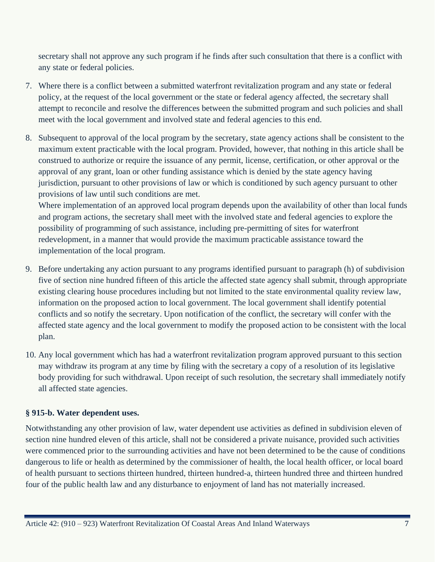secretary shall not approve any such program if he finds after such consultation that there is a conflict with any state or federal policies.

- 7. Where there is a conflict between a submitted waterfront revitalization program and any state or federal policy, at the request of the local government or the state or federal agency affected, the secretary shall attempt to reconcile and resolve the differences between the submitted program and such policies and shall meet with the local government and involved state and federal agencies to this end.
- 8. Subsequent to approval of the local program by the secretary, state agency actions shall be consistent to the maximum extent practicable with the local program. Provided, however, that nothing in this article shall be construed to authorize or require the issuance of any permit, license, certification, or other approval or the approval of any grant, loan or other funding assistance which is denied by the state agency having jurisdiction, pursuant to other provisions of law or which is conditioned by such agency pursuant to other provisions of law until such conditions are met.

Where implementation of an approved local program depends upon the availability of other than local funds and program actions, the secretary shall meet with the involved state and federal agencies to explore the possibility of programming of such assistance, including pre-permitting of sites for waterfront redevelopment, in a manner that would provide the maximum practicable assistance toward the implementation of the local program.

- 9. Before undertaking any action pursuant to any programs identified pursuant to paragraph (h) of subdivision five of section nine hundred fifteen of this article the affected state agency shall submit, through appropriate existing clearing house procedures including but not limited to the state environmental quality review law, information on the proposed action to local government. The local government shall identify potential conflicts and so notify the secretary. Upon notification of the conflict, the secretary will confer with the affected state agency and the local government to modify the proposed action to be consistent with the local plan.
- 10. Any local government which has had a waterfront revitalization program approved pursuant to this section may withdraw its program at any time by filing with the secretary a copy of a resolution of its legislative body providing for such withdrawal. Upon receipt of such resolution, the secretary shall immediately notify all affected state agencies.

# **§ 915-b. Water dependent uses.**

Notwithstanding any other provision of law, water dependent use activities as defined in subdivision eleven of section nine hundred eleven of this article, shall not be considered a private nuisance, provided such activities were commenced prior to the surrounding activities and have not been determined to be the cause of conditions dangerous to life or health as determined by the commissioner of health, the local health officer, or local board of health pursuant to sections thirteen hundred, thirteen hundred-a, thirteen hundred three and thirteen hundred four of the public health law and any disturbance to enjoyment of land has not materially increased.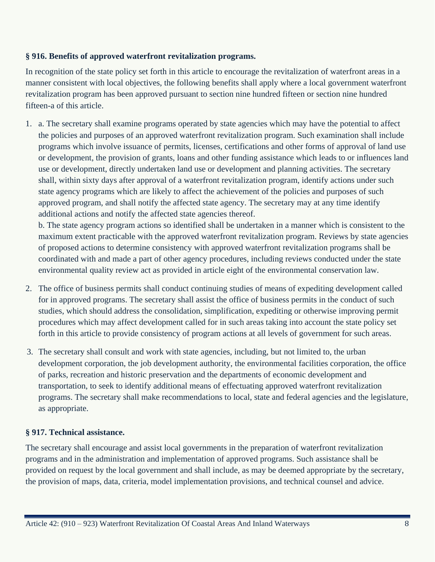#### **§ 916. Benefits of approved waterfront revitalization programs.**

In recognition of the state policy set forth in this article to encourage the revitalization of waterfront areas in a manner consistent with local objectives, the following benefits shall apply where a local government waterfront revitalization program has been approved pursuant to section nine hundred fifteen or section nine hundred fifteen-a of this article.

1. a. The secretary shall examine programs operated by state agencies which may have the potential to affect the policies and purposes of an approved waterfront revitalization program. Such examination shall include programs which involve issuance of permits, licenses, certifications and other forms of approval of land use or development, the provision of grants, loans and other funding assistance which leads to or influences land use or development, directly undertaken land use or development and planning activities. The secretary shall, within sixty days after approval of a waterfront revitalization program, identify actions under such state agency programs which are likely to affect the achievement of the policies and purposes of such approved program, and shall notify the affected state agency. The secretary may at any time identify additional actions and notify the affected state agencies thereof.

b. The state agency program actions so identified shall be undertaken in a manner which is consistent to the maximum extent practicable with the approved waterfront revitalization program. Reviews by state agencies of proposed actions to determine consistency with approved waterfront revitalization programs shall be coordinated with and made a part of other agency procedures, including reviews conducted under the state environmental quality review act as provided in article eight of the environmental conservation law.

- 2. The office of business permits shall conduct continuing studies of means of expediting development called for in approved programs. The secretary shall assist the office of business permits in the conduct of such studies, which should address the consolidation, simplification, expediting or otherwise improving permit procedures which may affect development called for in such areas taking into account the state policy set forth in this article to provide consistency of program actions at all levels of government for such areas.
- 3. The secretary shall consult and work with state agencies, including, but not limited to, the urban development corporation, the job development authority, the environmental facilities corporation, the office of parks, recreation and historic preservation and the departments of economic development and transportation, to seek to identify additional means of effectuating approved waterfront revitalization programs. The secretary shall make recommendations to local, state and federal agencies and the legislature, as appropriate.

# **§ 917. Technical assistance.**

The secretary shall encourage and assist local governments in the preparation of waterfront revitalization programs and in the administration and implementation of approved programs. Such assistance shall be provided on request by the local government and shall include, as may be deemed appropriate by the secretary, the provision of maps, data, criteria, model implementation provisions, and technical counsel and advice.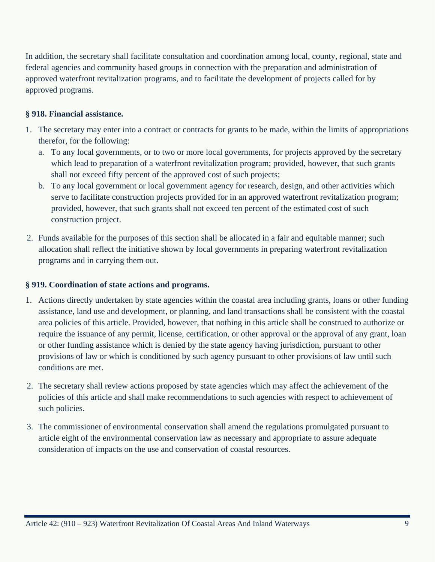In addition, the secretary shall facilitate consultation and coordination among local, county, regional, state and federal agencies and community based groups in connection with the preparation and administration of approved waterfront revitalization programs, and to facilitate the development of projects called for by approved programs.

#### **§ 918. Financial assistance.**

- 1. The secretary may enter into a contract or contracts for grants to be made, within the limits of appropriations therefor, for the following:
	- a. To any local governments, or to two or more local governments, for projects approved by the secretary which lead to preparation of a waterfront revitalization program; provided, however, that such grants shall not exceed fifty percent of the approved cost of such projects;
	- b. To any local government or local government agency for research, design, and other activities which serve to facilitate construction projects provided for in an approved waterfront revitalization program; provided, however, that such grants shall not exceed ten percent of the estimated cost of such construction project.
- 2. Funds available for the purposes of this section shall be allocated in a fair and equitable manner; such allocation shall reflect the initiative shown by local governments in preparing waterfront revitalization programs and in carrying them out.

#### **§ 919. Coordination of state actions and programs.**

- 1. Actions directly undertaken by state agencies within the coastal area including grants, loans or other funding assistance, land use and development, or planning, and land transactions shall be consistent with the coastal area policies of this article. Provided, however, that nothing in this article shall be construed to authorize or require the issuance of any permit, license, certification, or other approval or the approval of any grant, loan or other funding assistance which is denied by the state agency having jurisdiction, pursuant to other provisions of law or which is conditioned by such agency pursuant to other provisions of law until such conditions are met.
- 2. The secretary shall review actions proposed by state agencies which may affect the achievement of the policies of this article and shall make recommendations to such agencies with respect to achievement of such policies.
- 3. The commissioner of environmental conservation shall amend the regulations promulgated pursuant to article eight of the environmental conservation law as necessary and appropriate to assure adequate consideration of impacts on the use and conservation of coastal resources.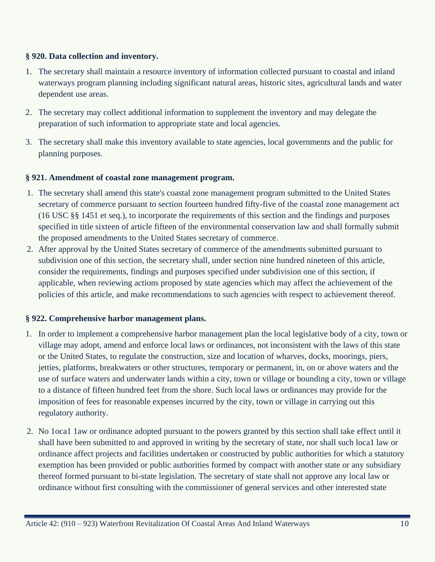#### **§ 920. Data collection and inventory.**

- 1. The secretary shall maintain a resource inventory of information collected pursuant to coastal and inland waterways program planning including significant natural areas, historic sites, agricultural lands and water dependent use areas.
- 2. The secretary may collect additional information to supplement the inventory and may delegate the preparation of such information to appropriate state and local agencies.
- 3. The secretary shall make this inventory available to state agencies, local governments and the public for planning purposes.

#### **§ 921. Amendment of coastal zone management program.**

- 1. The secretary shall amend this state's coastal zone management program submitted to the United States secretary of commerce pursuant to section fourteen hundred fifty-five of the coastal zone management act (16 USC §§ 1451 et seq.), to incorporate the requirements of this section and the findings and purposes specified in title sixteen of article fifteen of the environmental conservation law and shall formally submit the proposed amendments to the United States secretary of commerce.
- 2. After approval by the United States secretary of commerce of the amendments submitted pursuant to subdivision one of this section, the secretary shall, under section nine hundred nineteen of this article, consider the requirements, findings and purposes specified under subdivision one of this section, if applicable, when reviewing actions proposed by state agencies which may affect the achievement of the policies of this article, and make recommendations to such agencies with respect to achievement thereof.

#### **§ 922. Comprehensive harbor management plans.**

- 1. In order to implement a comprehensive harbor management plan the local legislative body of a city, town or village may adopt, amend and enforce local laws or ordinances, not inconsistent with the laws of this state or the United States, to regulate the construction, size and location of wharves, docks, moorings, piers, jetties, platforms, breakwaters or other structures, temporary or permanent, in, on or above waters and the use of surface waters and underwater lands within a city, town or village or bounding a city, town or village to a distance of fifteen hundred feet from the shore. Such local laws or ordinances may provide for the imposition of fees for reasonable expenses incurred by the city, town or village in carrying out this regulatory authority.
- 2. No 1oca1 1aw or ordinance adopted pursuant to the powers granted by this section shall take effect until it shall have been submitted to and approved in writing by the secretary of state, nor shall such loca1 law or ordinance affect projects and facilities undertaken or constructed by public authorities for which a statutory exemption has been provided or public authorities formed by compact with another state or any subsidiary thereof formed pursuant to bi-state legislation. The secretary of state shall not approve any local law or ordinance without first consulting with the commissioner of general services and other interested state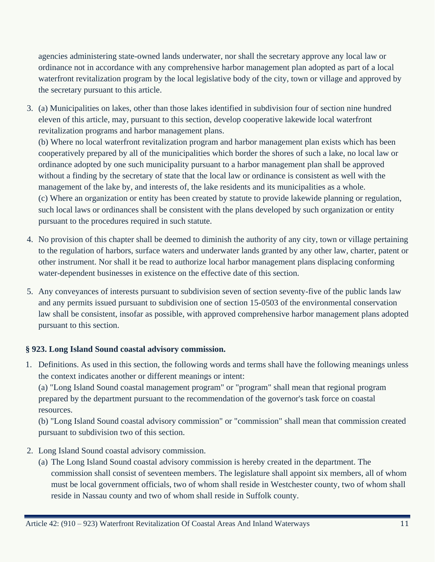agencies administering state-owned lands underwater, nor shall the secretary approve any local law or ordinance not in accordance with any comprehensive harbor management plan adopted as part of a local waterfront revitalization program by the local legislative body of the city, town or village and approved by the secretary pursuant to this article.

3. (a) Municipalities on lakes, other than those lakes identified in subdivision four of section nine hundred eleven of this article, may, pursuant to this section, develop cooperative lakewide local waterfront revitalization programs and harbor management plans.

(b) Where no local waterfront revitalization program and harbor management plan exists which has been cooperatively prepared by all of the municipalities which border the shores of such a lake, no local law or ordinance adopted by one such municipality pursuant to a harbor management plan shall be approved without a finding by the secretary of state that the local law or ordinance is consistent as well with the management of the lake by, and interests of, the lake residents and its municipalities as a whole. (c) Where an organization or entity has been created by statute to provide lakewide planning or regulation, such local laws or ordinances shall be consistent with the plans developed by such organization or entity pursuant to the procedures required in such statute.

- 4. No provision of this chapter shall be deemed to diminish the authority of any city, town or village pertaining to the regulation of harbors, surface waters and underwater lands granted by any other law, charter, patent or other instrument. Nor shall it be read to authorize local harbor management plans displacing conforming water-dependent businesses in existence on the effective date of this section.
- 5. Any conveyances of interests pursuant to subdivision seven of section seventy-five of the public lands law and any permits issued pursuant to subdivision one of section 15-0503 of the environmental conservation law shall be consistent, insofar as possible, with approved comprehensive harbor management plans adopted pursuant to this section.

# **§ 923. Long Island Sound coastal advisory commission.**

1. Definitions. As used in this section, the following words and terms shall have the following meanings unless the context indicates another or different meanings or intent:

(a) "Long Island Sound coastal management program" or "program" shall mean that regional program prepared by the department pursuant to the recommendation of the governor's task force on coastal resources.

(b) "Long Island Sound coastal advisory commission" or "commission" shall mean that commission created pursuant to subdivision two of this section.

- 2. Long Island Sound coastal advisory commission.
	- (a) The Long Island Sound coastal advisory commission is hereby created in the department. The commission shall consist of seventeen members. The legislature shall appoint six members, all of whom must be local government officials, two of whom shall reside in Westchester county, two of whom shall reside in Nassau county and two of whom shall reside in Suffolk county.